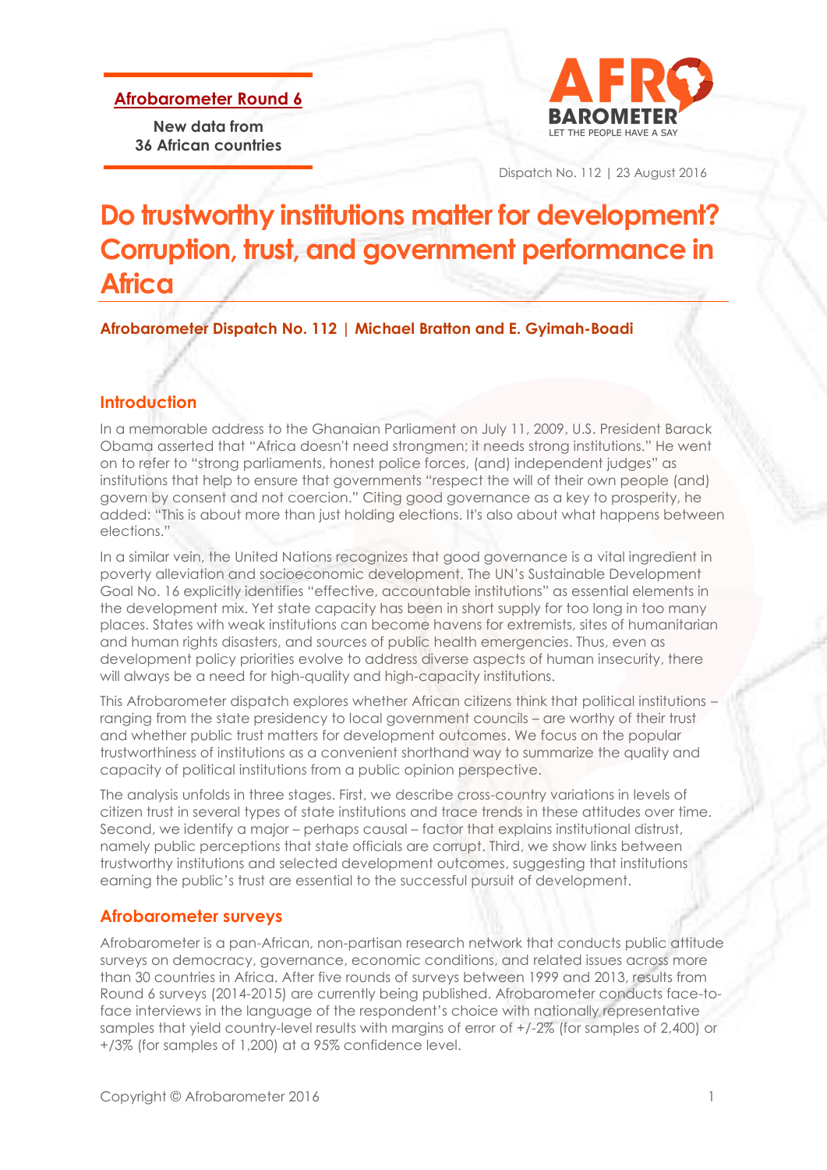**Afrobarometer Round 6**

**New data from 36 African countries**



Dispatch No. 112 | 23 August 2016

# **Do trustworthy institutions matter for development? Corruption, trust, and government performance in Africa**

**Afrobarometer Dispatch No. 112 | Michael Bratton and E. Gyimah-Boadi**

## **Introduction**

In a memorable address to the Ghanaian Parliament on July 11, 2009, U.S. President Barack Obama asserted that "Africa doesn't need strongmen; it needs strong institutions." He went on to refer to "strong parliaments, honest police forces, (and) independent judges" as institutions that help to ensure that governments "respect the will of their own people (and) govern by consent and not coercion." Citing good governance as a key to prosperity, he added: "This is about more than just holding elections. It's also about what happens between elections."

In a similar vein, the United Nations recognizes that good governance is a vital ingredient in poverty alleviation and socioeconomic development. The UN's Sustainable Development Goal No. 16 explicitly identifies "effective, accountable institutions" as essential elements in the development mix. Yet state capacity has been in short supply for too long in too many places. States with weak institutions can become havens for extremists, sites of humanitarian and human rights disasters, and sources of public health emergencies. Thus, even as development policy priorities evolve to address diverse aspects of human insecurity, there will always be a need for high-quality and high-capacity institutions.

This Afrobarometer dispatch explores whether African citizens think that political institutions – ranging from the state presidency to local government councils – are worthy of their trust and whether public trust matters for development outcomes. We focus on the popular trustworthiness of institutions as a convenient shorthand way to summarize the quality and capacity of political institutions from a public opinion perspective.

The analysis unfolds in three stages. First, we describe cross-country variations in levels of citizen trust in several types of state institutions and trace trends in these attitudes over time. Second, we identify a major – perhaps causal – factor that explains institutional distrust, namely public perceptions that state officials are corrupt. Third, we show links between trustworthy institutions and selected development outcomes, suggesting that institutions earning the public's trust are essential to the successful pursuit of development.

## **Afrobarometer surveys**

Afrobarometer is a pan-African, non-partisan research network that conducts public attitude surveys on democracy, governance, economic conditions, and related issues across more than 30 countries in Africa. After five rounds of surveys between 1999 and 2013, results from Round 6 surveys (2014-2015) are currently being published. Afrobarometer conducts face-toface interviews in the language of the respondent's choice with nationally representative samples that yield country-level results with margins of error of +/-2% (for samples of 2,400) or +/3% (for samples of 1,200) at a 95% confidence level.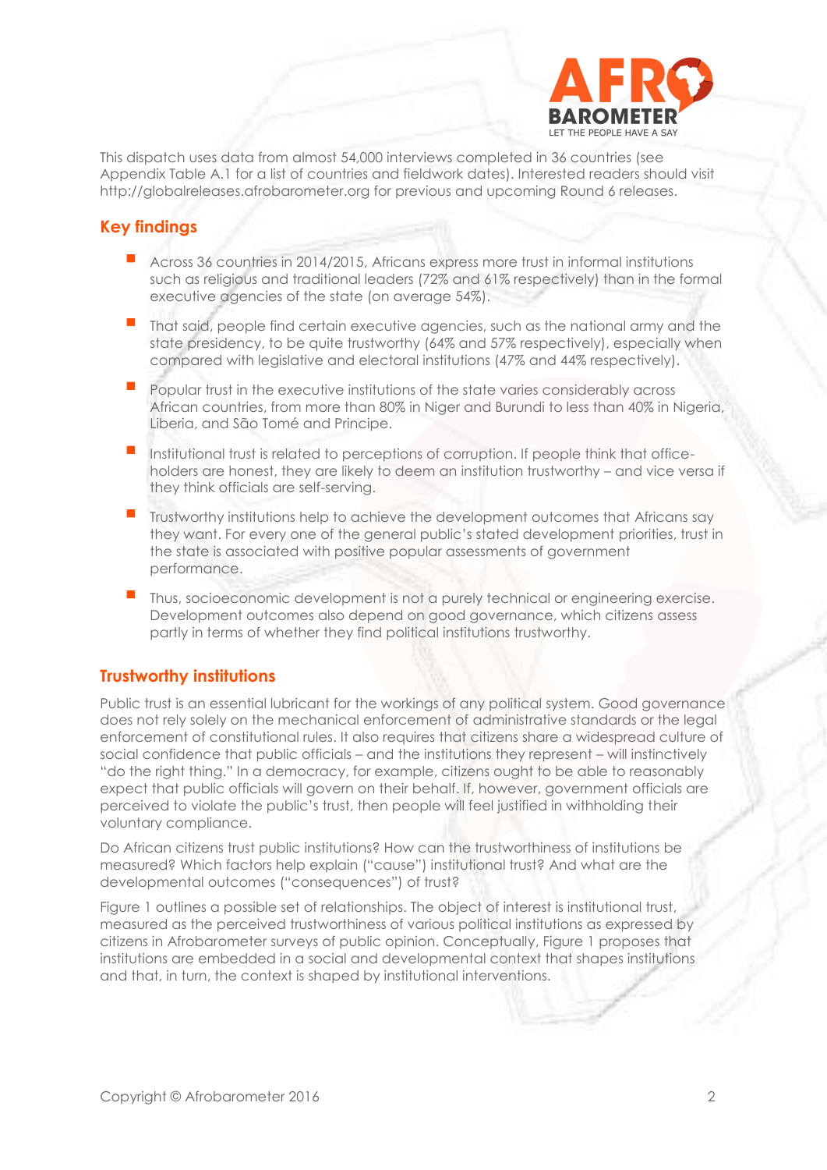

This dispatch uses data from almost 54,000 interviews completed in 36 countries (see Appendix Table A.1 for a list of countries and fieldwork dates). Interested readers should visit http://globalreleases.afrobarometer.org for previous and upcoming Round 6 releases.

## **Key findings**

- Across 36 countries in 2014/2015, Africans express more trust in informal institutions such as religious and traditional leaders (72% and 61% respectively) than in the formal executive agencies of the state (on average 54%).
- That said, people find certain executive agencies, such as the national army and the state presidency, to be quite trustworthy (64% and 57% respectively), especially when compared with legislative and electoral institutions (47% and 44% respectively).
- Popular trust in the executive institutions of the state varies considerably across African countries, from more than 80% in Niger and Burundi to less than 40% in Nigeria, Liberia, and São Tomé and Principe.
- Institutional trust is related to perceptions of corruption. If people think that officeholders are honest, they are likely to deem an institution trustworthy – and vice versa if they think officials are self-serving.
- Trustworthy institutions help to achieve the development outcomes that Africans say they want. For every one of the general public's stated development priorities, trust in the state is associated with positive popular assessments of government performance.
- Thus, socioeconomic development is not a purely technical or engineering exercise. Development outcomes also depend on good governance, which citizens assess partly in terms of whether they find political institutions trustworthy.

## **Trustworthy institutions**

Public trust is an essential lubricant for the workings of any political system. Good governance does not rely solely on the mechanical enforcement of administrative standards or the legal enforcement of constitutional rules. It also requires that citizens share a widespread culture of social confidence that public officials – and the institutions they represent – will instinctively "do the right thing." In a democracy, for example, citizens ought to be able to reasonably expect that public officials will govern on their behalf. If, however, government officials are perceived to violate the public's trust, then people will feel justified in withholding their voluntary compliance.

Do African citizens trust public institutions? How can the trustworthiness of institutions be measured? Which factors help explain ("cause") institutional trust? And what are the developmental outcomes ("consequences") of trust?

Figure 1 outlines a possible set of relationships. The object of interest is institutional trust, measured as the perceived trustworthiness of various political institutions as expressed by citizens in Afrobarometer surveys of public opinion. Conceptually, Figure 1 proposes that institutions are embedded in a social and developmental context that shapes institutions and that, in turn, the context is shaped by institutional interventions.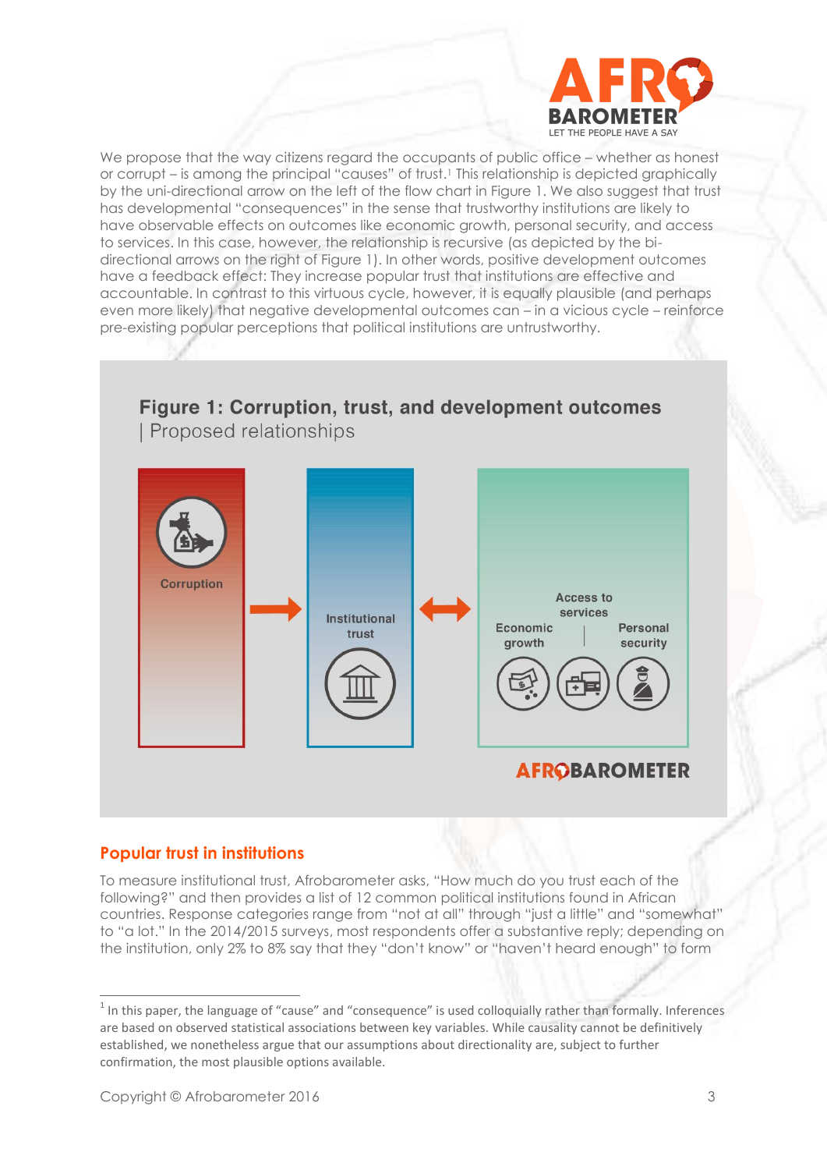

We propose that the way citizens regard the occupants of public office – whether as honest or corrupt – is among the principal "causes" of trust.<sup>1</sup> This relationship is depicted graphically by the uni-directional arrow on the left of the flow chart in Figure 1. We also suggest that trust has developmental "consequences" in the sense that trustworthy institutions are likely to have observable effects on outcomes like economic growth, personal security, and access to services. In this case, however, the relationship is recursive (as depicted by the bidirectional arrows on the right of Figure 1). In other words, positive development outcomes have a feedback effect: They increase popular trust that institutions are effective and accountable. In contrast to this virtuous cycle, however, it is equally plausible (and perhaps even more likely) that negative developmental outcomes can – in a vicious cycle – reinforce pre-existing popular perceptions that political institutions are untrustworthy.

## Figure 1: Corruption, trust, and development outcomes Proposed relationships



### **Popular trust in institutions**

To measure institutional trust, Afrobarometer asks, "How much do you trust each of the following?" and then provides a list of 12 common political institutions found in African countries. Response categories range from "not at all" through "just a little" and "somewhat" to "a lot." In the 2014/2015 surveys, most respondents offer a substantive reply; depending on the institution, only 2% to 8% say that they "don't know" or "haven't heard enough" to form

 $1$  In this paper, the language of "cause" and "consequence" is used colloquially rather than formally. Inferences are based on observed statistical associations between key variables. While causality cannot be definitively established, we nonetheless argue that our assumptions about directionality are, subject to further confirmation, the most plausible options available.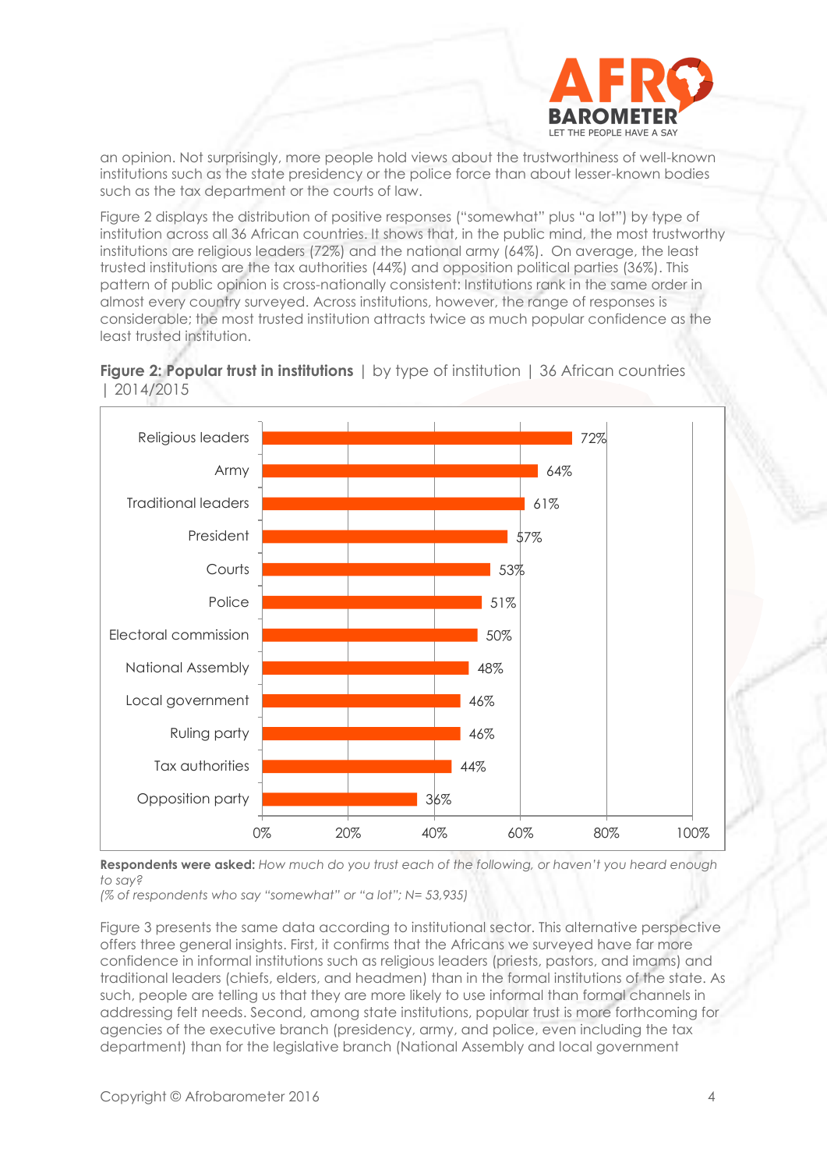

an opinion. Not surprisingly, more people hold views about the trustworthiness of well-known institutions such as the state presidency or the police force than about lesser-known bodies such as the tax department or the courts of law.

Figure 2 displays the distribution of positive responses ("somewhat" plus "a lot") by type of institution across all 36 African countries. It shows that, in the public mind, the most trustworthy institutions are religious leaders (72%) and the national army (64%). On average, the least trusted institutions are the tax authorities (44%) and opposition political parties (36%). This pattern of public opinion is cross-nationally consistent: Institutions rank in the same order in almost every country surveyed. Across institutions, however, the range of responses is considerable; the most trusted institution attracts twice as much popular confidence as the least trusted institution.





**Respondents were asked:** *How much do you trust each of the following, or haven't you heard enough to say?*

*(% of respondents who say "somewhat" or "a lot"; N= 53,935)*

Figure 3 presents the same data according to institutional sector. This alternative perspective offers three general insights. First, it confirms that the Africans we surveyed have far more confidence in informal institutions such as religious leaders (priests, pastors, and imams) and traditional leaders (chiefs, elders, and headmen) than in the formal institutions of the state. As such, people are telling us that they are more likely to use informal than formal channels in addressing felt needs. Second, among state institutions, popular trust is more forthcoming for agencies of the executive branch (presidency, army, and police, even including the tax department) than for the legislative branch (National Assembly and local government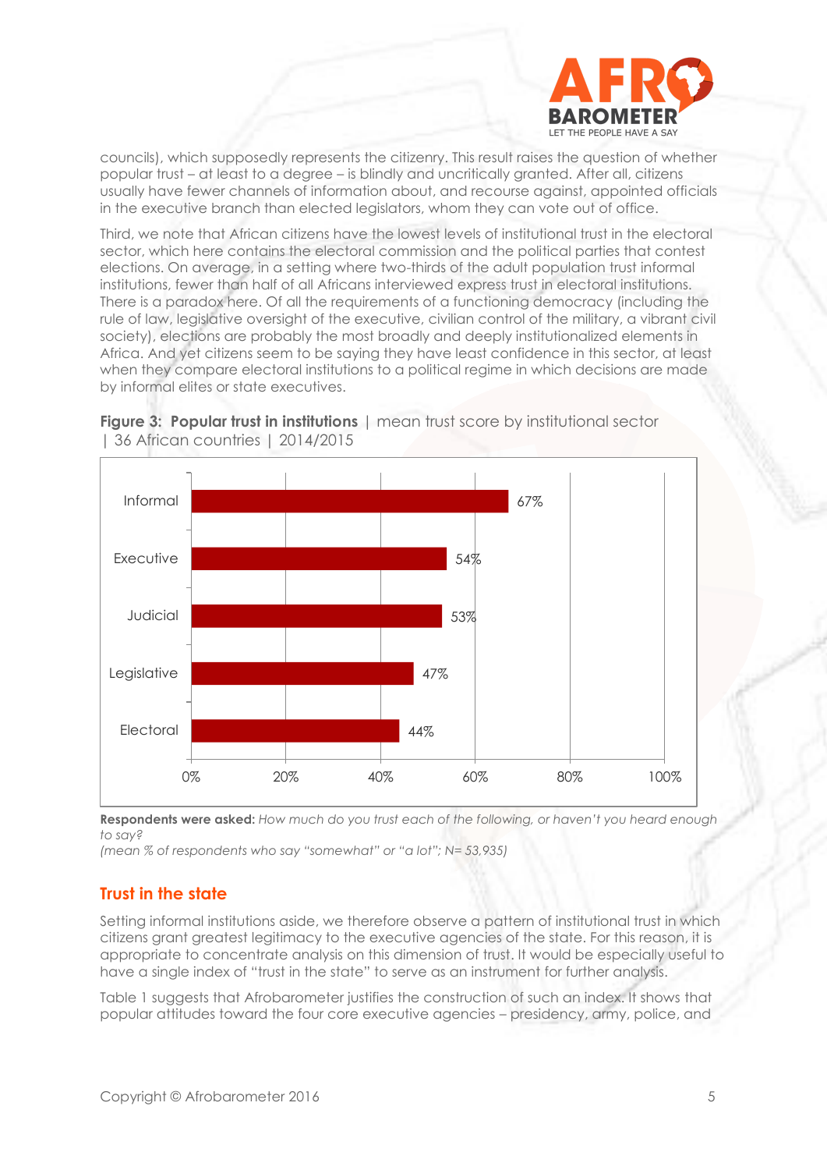

councils), which supposedly represents the citizenry. This result raises the question of whether popular trust – at least to a degree – is blindly and uncritically granted. After all, citizens usually have fewer channels of information about, and recourse against, appointed officials in the executive branch than elected legislators, whom they can vote out of office.

Third, we note that African citizens have the lowest levels of institutional trust in the electoral sector, which here contains the electoral commission and the political parties that contest elections. On average, in a setting where two-thirds of the adult population trust informal institutions, fewer than half of all Africans interviewed express trust in electoral institutions. There is a paradox here. Of all the requirements of a functioning democracy (including the rule of law, legislative oversight of the executive, civilian control of the military, a vibrant civil society), elections are probably the most broadly and deeply institutionalized elements in Africa. And yet citizens seem to be saying they have least confidence in this sector, at least when they compare electoral institutions to a political regime in which decisions are made by informal elites or state executives.



**Figure 3: Popular trust in institutions** | mean trust score by institutional sector | 36 African countries | 2014/2015

**Respondents were asked:** *How much do you trust each of the following, or haven't you heard enough to say?*

*(mean % of respondents who say "somewhat" or "a lot"; N= 53,935)*

### **Trust in the state**

Setting informal institutions aside, we therefore observe a pattern of institutional trust in which citizens grant greatest legitimacy to the executive agencies of the state. For this reason, it is appropriate to concentrate analysis on this dimension of trust. It would be especially useful to have a single index of "trust in the state" to serve as an instrument for further analysis.

Table 1 suggests that Afrobarometer justifies the construction of such an index. It shows that popular attitudes toward the four core executive agencies – presidency, army, police, and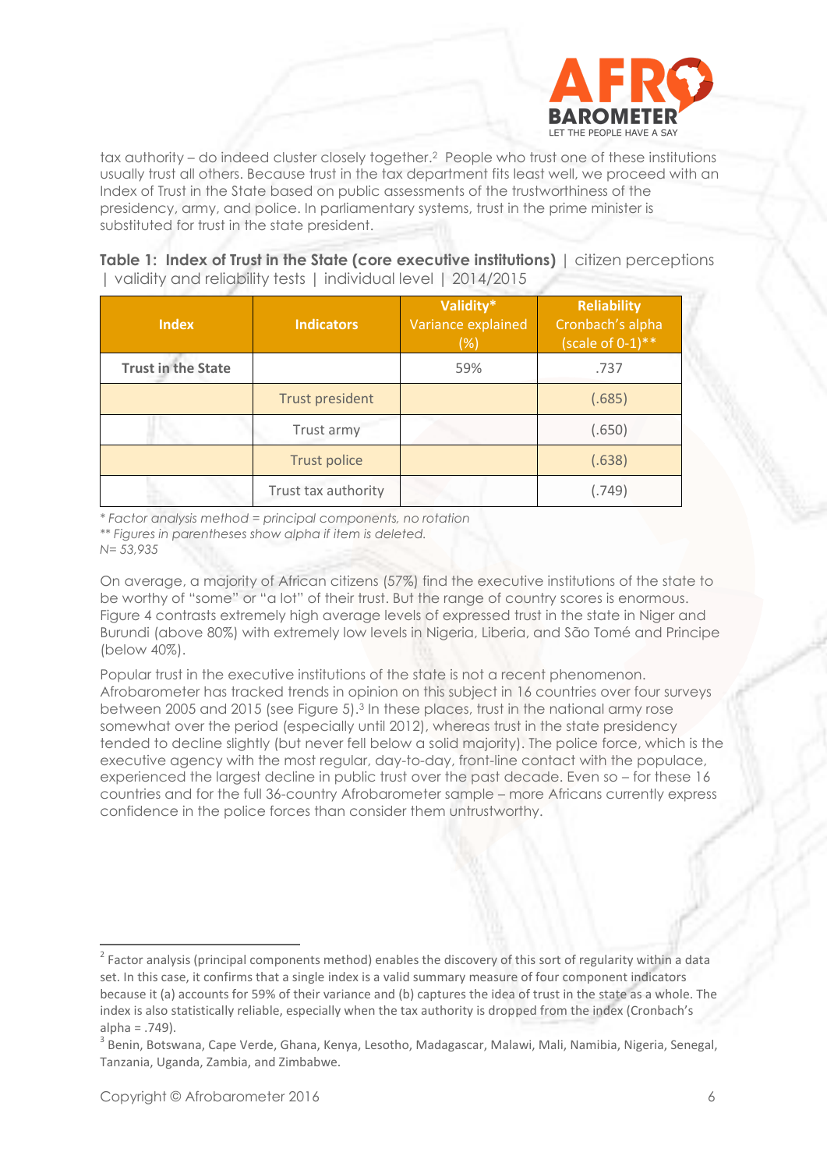

tax authority – do indeed cluster closely together.2 People who trust one of these institutions usually trust all others. Because trust in the tax department fits least well, we proceed with an Index of Trust in the State based on public assessments of the trustworthiness of the presidency, army, and police. In parliamentary systems, trust in the prime minister is substituted for trust in the state president.

**Table 1: Index of Trust in the State (core executive institutions)** | citizen perceptions | validity and reliability tests | individual level | 2014/2015

| <b>Index</b>              | <b>Indicators</b>      | Validity*<br>Variance explained<br>(%) | <b>Reliability</b><br>Cronbach's alpha<br>$(scale of 0-1)**$ |  |  |
|---------------------------|------------------------|----------------------------------------|--------------------------------------------------------------|--|--|
| <b>Trust in the State</b> |                        | 59%                                    | .737                                                         |  |  |
|                           | <b>Trust president</b> |                                        | (.685)                                                       |  |  |
|                           | Trust army             |                                        | (.650)                                                       |  |  |
|                           | <b>Trust police</b>    |                                        | (.638)                                                       |  |  |
|                           | Trust tax authority    |                                        | (.749)                                                       |  |  |

*\* Factor analysis method = principal components, no rotation \*\* Figures in parentheses show alpha if item is deleted. N= 53,935*

On average, a majority of African citizens (57%) find the executive institutions of the state to be worthy of "some" or "a lot" of their trust. But the range of country scores is enormous. Figure 4 contrasts extremely high average levels of expressed trust in the state in Niger and Burundi (above 80%) with extremely low levels in Nigeria, Liberia, and São Tomé and Principe (below 40%).

Popular trust in the executive institutions of the state is not a recent phenomenon. Afrobarometer has tracked trends in opinion on this subject in 16 countries over four surveys between 2005 and 2015 (see Figure 5).<sup>3</sup> In these places, trust in the national army rose somewhat over the period (especially until 2012), whereas trust in the state presidency tended to decline slightly (but never fell below a solid majority). The police force, which is the executive agency with the most regular, day-to-day, front-line contact with the populace, experienced the largest decline in public trust over the past decade. Even so – for these 16 countries and for the full 36-country Afrobarometer sample – more Africans currently express confidence in the police forces than consider them untrustworthy.

 $2$  Factor analysis (principal components method) enables the discovery of this sort of regularity within a data set. In this case, it confirms that a single index is a valid summary measure of four component indicators because it (a) accounts for 59% of their variance and (b) captures the idea of trust in the state as a whole. The index is also statistically reliable, especially when the tax authority is dropped from the index (Cronbach's  $alpha = .749$ ).

<sup>&</sup>lt;sup>3</sup> Benin, Botswana, Cape Verde, Ghana, Kenya, Lesotho, Madagascar, Malawi, Mali, Namibia, Nigeria, Senegal, Tanzania, Uganda, Zambia, and Zimbabwe.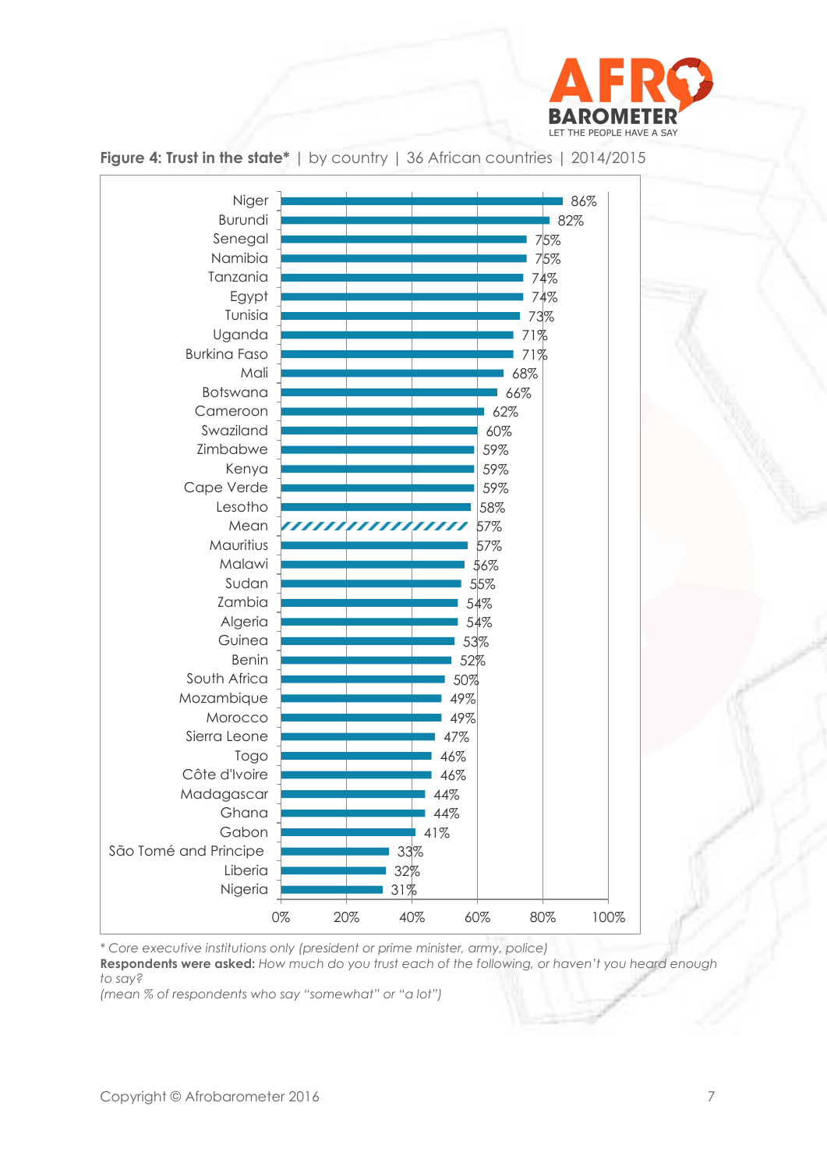



**Figure 4: Trust in the state\*** | by country | 36 African countries | 2014/2015

*\* Core executive institutions only (president or prime minister, army, police)*

**Respondents were asked:** *How much do you trust each of the following, or haven't you heard enough to say?*

*(mean % of respondents who say "somewhat" or "a lot")*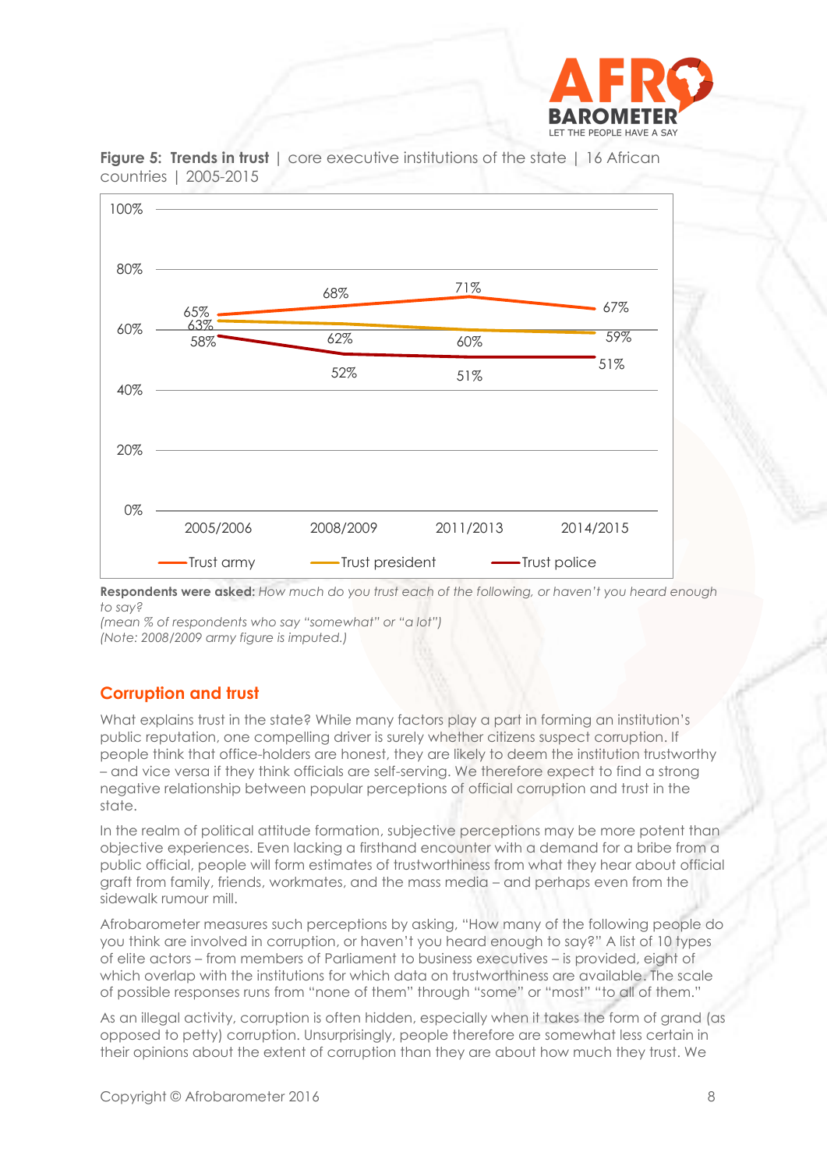



**Figure 5: Trends in trust** | core executive institutions of the state | 16 African countries | 2005-2015

**Respondents were asked:** *How much do you trust each of the following, or haven't you heard enough to say?*

*(mean % of respondents who say "somewhat" or "a lot") (Note: 2008/2009 army figure is imputed.)*

## **Corruption and trust**

What explains trust in the state? While many factors play a part in forming an institution's public reputation, one compelling driver is surely whether citizens suspect corruption. If people think that office-holders are honest, they are likely to deem the institution trustworthy – and vice versa if they think officials are self-serving. We therefore expect to find a strong negative relationship between popular perceptions of official corruption and trust in the state.

In the realm of political attitude formation, subjective perceptions may be more potent than objective experiences. Even lacking a firsthand encounter with a demand for a bribe from a public official, people will form estimates of trustworthiness from what they hear about official graft from family, friends, workmates, and the mass media – and perhaps even from the sidewalk rumour mill.

Afrobarometer measures such perceptions by asking, "How many of the following people do you think are involved in corruption, or haven't you heard enough to say?" A list of 10 types of elite actors – from members of Parliament to business executives – is provided, eight of which overlap with the institutions for which data on trustworthiness are available. The scale of possible responses runs from "none of them" through "some" or "most" "to all of them."

As an illegal activity, corruption is often hidden, especially when it takes the form of grand (as opposed to petty) corruption. Unsurprisingly, people therefore are somewhat less certain in their opinions about the extent of corruption than they are about how much they trust. We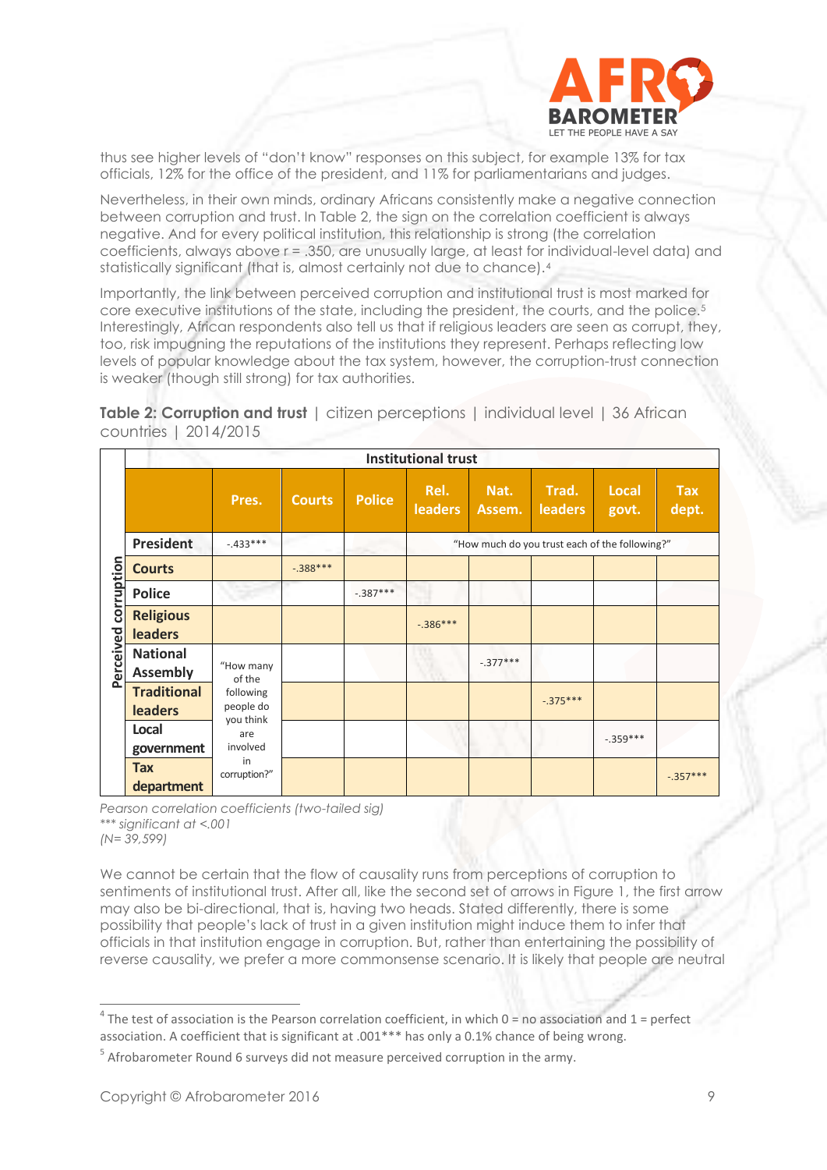

thus see higher levels of "don't know" responses on this subject, for example 13% for tax officials, 12% for the office of the president, and 11% for parliamentarians and judges.

Nevertheless, in their own minds, ordinary Africans consistently make a negative connection between corruption and trust. In Table 2, the sign on the correlation coefficient is always negative. And for every political institution, this relationship is strong (the correlation coefficients, always above r = .350, are unusually large, at least for individual-level data) and statistically significant (that is, almost certainly not due to chance).<sup>4</sup>

Importantly, the link between perceived corruption and institutional trust is most marked for core executive institutions of the state, including the president, the courts, and the police.<sup>5</sup> Interestingly, African respondents also tell us that if religious leaders are seen as corrupt, they, too, risk impugning the reputations of the institutions they represent. Perhaps reflecting low levels of popular knowledge about the tax system, however, the corruption-trust connection is weaker (though still strong) for tax authorities.

**Table 2: Corruption and trust** | citizen perceptions | individual level | 36 African countries | 2014/2015

|            |                                      |                              |               |               | <b>Institutional trust</b>                     |                |                         |                |                     |
|------------|--------------------------------------|------------------------------|---------------|---------------|------------------------------------------------|----------------|-------------------------|----------------|---------------------|
|            |                                      | Pres.                        | <b>Courts</b> | <b>Police</b> | Rel.<br><b>leaders</b>                         | Nat.<br>Assem. | Trad.<br><b>leaders</b> | Local<br>govt. | <b>Tax</b><br>dept. |
|            | <b>President</b>                     | $-433***$                    |               |               | "How much do you trust each of the following?" |                |                         |                |                     |
|            | <b>Courts</b>                        |                              | $-.388***$    |               |                                                |                |                         |                |                     |
| corruption | <b>Police</b>                        |                              |               | $-.387***$    |                                                |                |                         |                |                     |
|            | <b>Religious</b><br><b>leaders</b>   |                              |               |               | $-.386***$                                     |                |                         |                |                     |
| Perceived  | <b>National</b><br><b>Assembly</b>   | "How many<br>of the          |               |               |                                                | $-.377***$     |                         |                |                     |
|            | <b>Traditional</b><br><b>leaders</b> | following<br>people do       |               |               |                                                |                | $-0.375***$             |                |                     |
|            | Local<br>government                  | you think<br>are<br>involved |               |               |                                                |                |                         | $-.359***$     |                     |
|            | <b>Tax</b><br>department             | in<br>corruption?"           |               |               |                                                |                |                         |                | $-.357***$          |

*Pearson correlation coefficients (two-tailed sig) \*\*\* significant at <.001 (N= 39,599)*

We cannot be certain that the flow of causality runs from perceptions of corruption to sentiments of institutional trust. After all, like the second set of arrows in Figure 1, the first arrow may also be bi-directional, that is, having two heads. Stated differently, there is some possibility that people's lack of trust in a given institution might induce them to infer that officials in that institution engage in corruption. But, rather than entertaining the possibility of reverse causality, we prefer a more commonsense scenario. It is likely that people are neutral

 $4$  The test of association is the Pearson correlation coefficient, in which 0 = no association and 1 = perfect association. A coefficient that is significant at .001\*\*\* has only a 0.1% chance of being wrong.

 $<sup>5</sup>$  Afrobarometer Round 6 surveys did not measure perceived corruption in the army.</sup>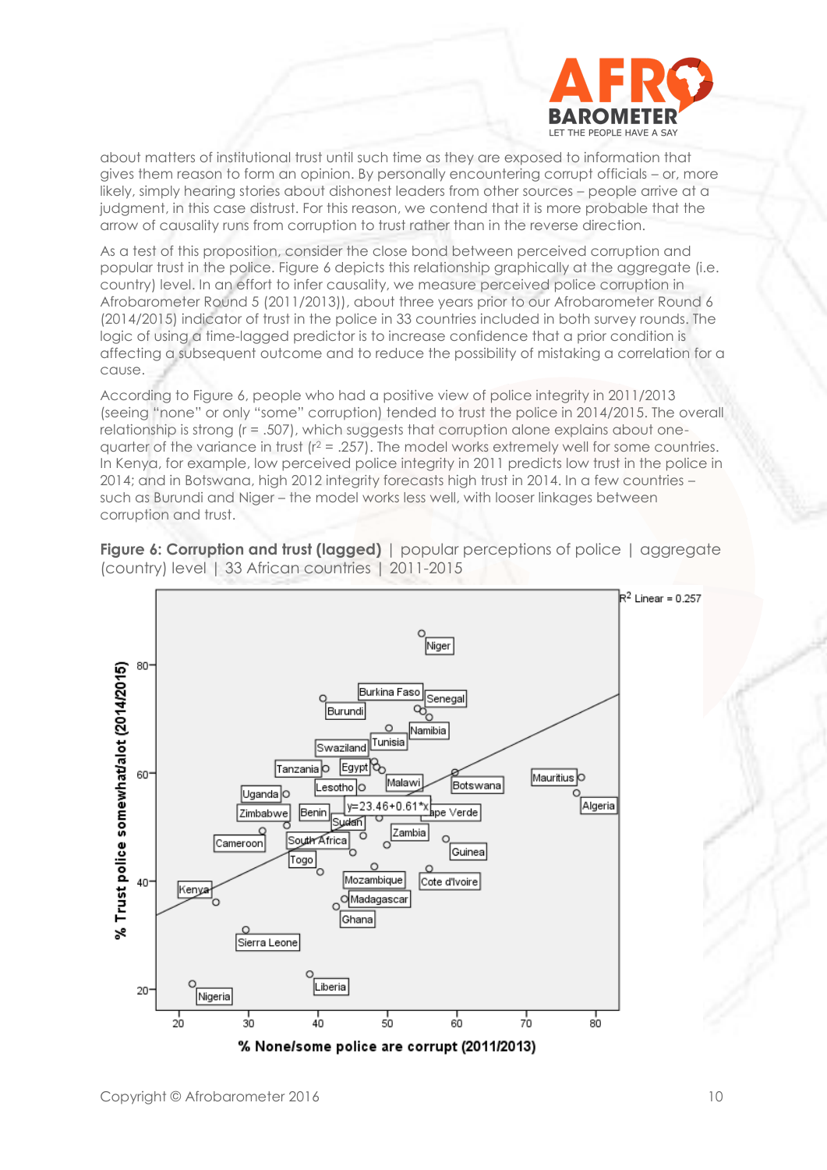

about matters of institutional trust until such time as they are exposed to information that gives them reason to form an opinion. By personally encountering corrupt officials – or, more likely, simply hearing stories about dishonest leaders from other sources – people arrive at a judgment, in this case distrust. For this reason, we contend that it is more probable that the arrow of causality runs from corruption to trust rather than in the reverse direction.

As a test of this proposition, consider the close bond between perceived corruption and popular trust in the police. Figure 6 depicts this relationship graphically at the aggregate (i.e. country) level. In an effort to infer causality, we measure perceived police corruption in Afrobarometer Round 5 (2011/2013)), about three years prior to our Afrobarometer Round 6 (2014/2015) indicator of trust in the police in 33 countries included in both survey rounds. The logic of using a time-lagged predictor is to increase confidence that a prior condition is affecting a subsequent outcome and to reduce the possibility of mistaking a correlation for a cause.

According to Figure 6, people who had a positive view of police integrity in 2011/2013 (seeing "none" or only "some" corruption) tended to trust the police in 2014/2015. The overall relationship is strong (r = .507), which suggests that corruption alone explains about onequarter of the variance in trust  $(r^2 = .257)$ . The model works extremely well for some countries. In Kenya, for example, low perceived police integrity in 2011 predicts low trust in the police in 2014; and in Botswana, high 2012 integrity forecasts high trust in 2014. In a few countries – such as Burundi and Niger – the model works less well, with looser linkages between corruption and trust.



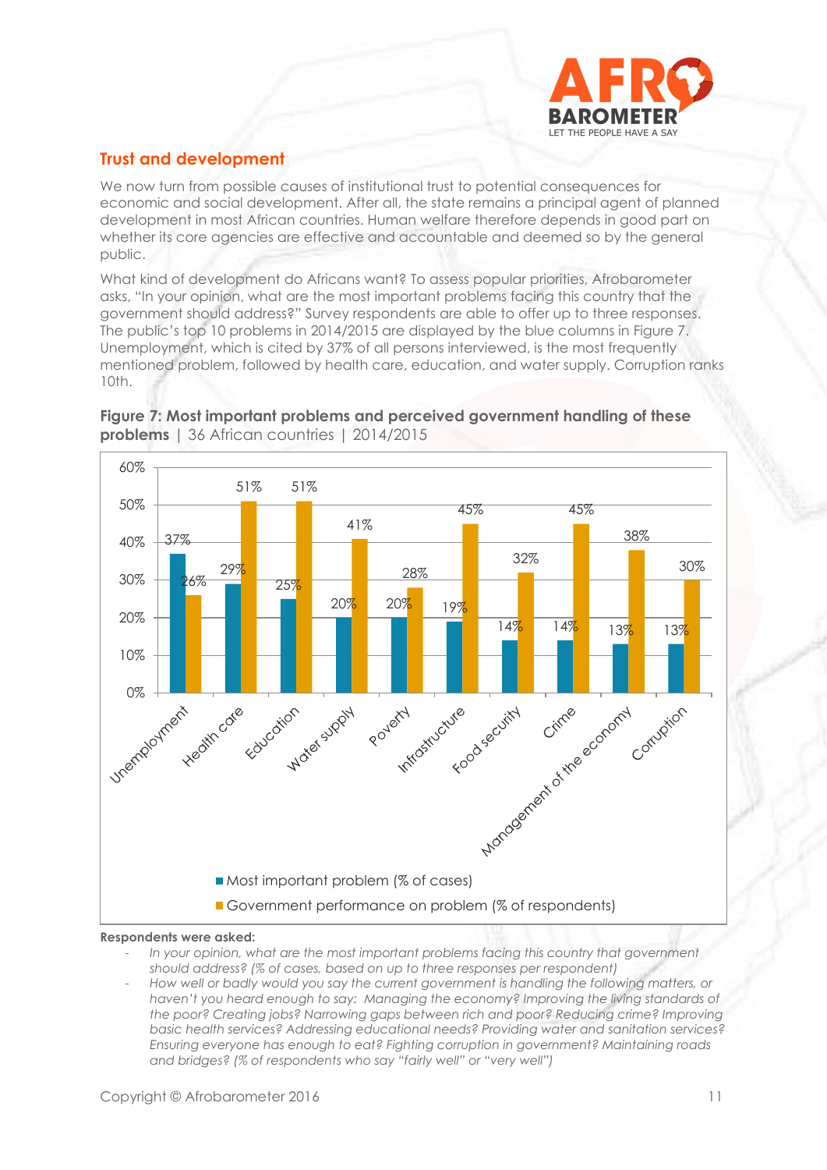

## **Trust and development**

We now turn from possible causes of institutional trust to potential consequences for economic and social development. After all, the state remains a principal agent of planned development in most African countries. Human welfare therefore depends in good part on whether its core agencies are effective and accountable and deemed so by the general public.

What kind of development do Africans want? To assess popular priorities, Afrobarometer asks, "In your opinion, what are the most important problems facing this country that the government should address?" Survey respondents are able to offer up to three responses. The public's top 10 problems in 2014/2015 are displayed by the blue columns in Figure 7. Unemployment, which is cited by 37% of all persons interviewed, is the most frequently mentioned problem, followed by health care, education, and water supply. Corruption ranks 10th.



**Figure 7: Most important problems and perceived government handling of these problems** | 36 African countries | 2014/2015

#### **Respondents were asked:**

- *In your opinion, what are the most important problems facing this country that government should address? (% of cases, based on up to three responses per respondent)*
- *How well or badly would you say the current government is handling the following matters, or haven't you heard enough to say: Managing the economy? Improving the living standards of the poor? Creating jobs? Narrowing gaps between rich and poor? Reducing crime? Improving basic health services? Addressing educational needs? Providing water and sanitation services? Ensuring everyone has enough to eat? Fighting corruption in government? Maintaining roads and bridges? (% of respondents who say "fairly well" or "very well")*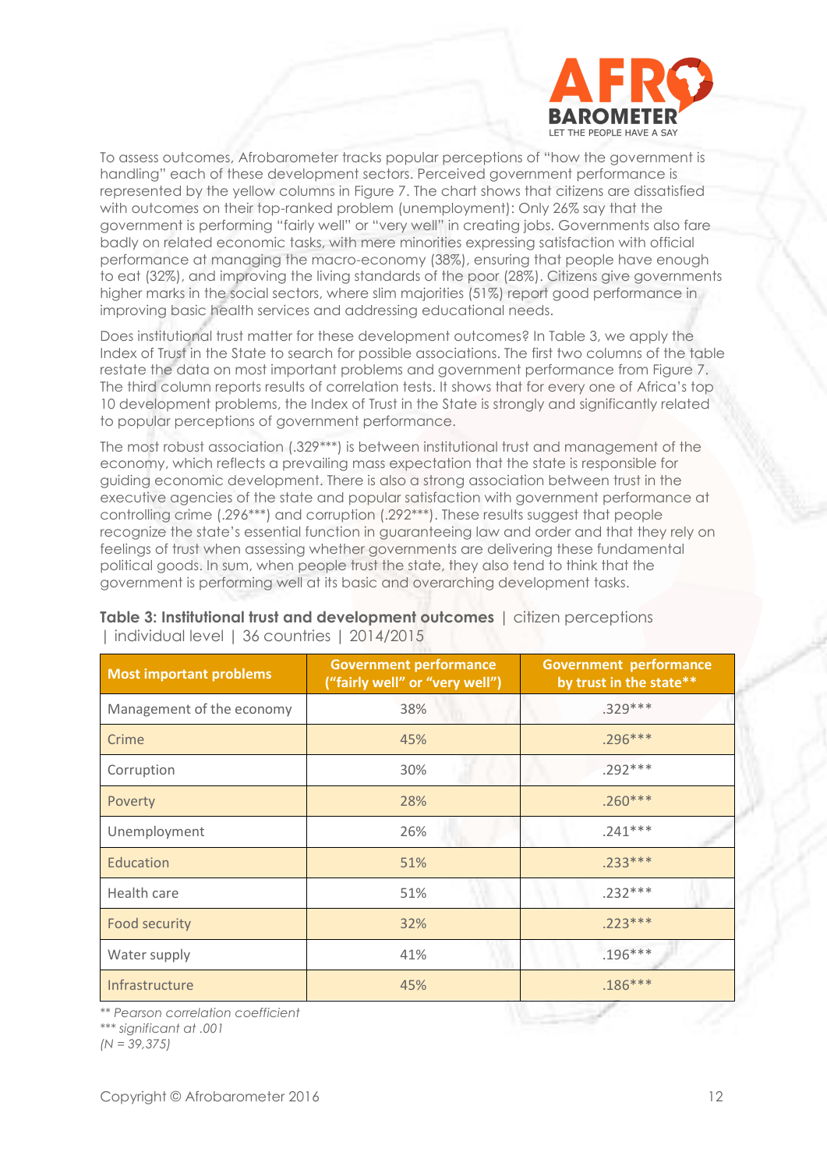

To assess outcomes, Afrobarometer tracks popular perceptions of "how the government is handling" each of these development sectors. Perceived government performance is represented by the yellow columns in Figure 7. The chart shows that citizens are dissatisfied with outcomes on their top-ranked problem (unemployment): Only 26% say that the government is performing "fairly well" or "very well" in creating jobs. Governments also fare badly on related economic tasks, with mere minorities expressing satisfaction with official performance at managing the macro-economy (38%), ensuring that people have enough to eat (32%), and improving the living standards of the poor (28%). Citizens give governments higher marks in the social sectors, where slim majorities (51%) report good performance in improving basic health services and addressing educational needs.

Does institutional trust matter for these development outcomes? In Table 3, we apply the Index of Trust in the State to search for possible associations. The first two columns of the table restate the data on most important problems and government performance from Figure 7. The third column reports results of correlation tests. It shows that for every one of Africa's top 10 development problems, the Index of Trust in the State is strongly and significantly related to popular perceptions of government performance.

The most robust association (.329\*\*\*) is between institutional trust and management of the economy, which reflects a prevailing mass expectation that the state is responsible for guiding economic development. There is also a strong association between trust in the executive agencies of the state and popular satisfaction with government performance at controlling crime (.296\*\*\*) and corruption (.292\*\*\*). These results suggest that people recognize the state's essential function in guaranteeing law and order and that they rely on feelings of trust when assessing whether governments are delivering these fundamental political goods. In sum, when people trust the state, they also tend to think that the government is performing well at its basic and overarching development tasks.

| <b>Most important problems</b> | <b>Government performance</b><br>("fairly well" or "very well") | <b>Government performance</b><br>by trust in the state** |
|--------------------------------|-----------------------------------------------------------------|----------------------------------------------------------|
| Management of the economy      | 38%                                                             | $.329***$                                                |
| Crime                          | 45%                                                             | $.296***$                                                |
| Corruption                     | 30%                                                             | $.292***$                                                |
| Poverty                        | 28%                                                             | $.260***$                                                |
| Unemployment                   | 26%                                                             | $.241***$                                                |
| Education                      | 51%                                                             | $.233***$                                                |
| Health care                    | 51%                                                             | $.232***$                                                |
| <b>Food security</b>           | 32%                                                             | $.223***$                                                |
| Water supply                   | 41%                                                             | $.196***$                                                |
| Infrastructure                 | 45%                                                             | $.186***$                                                |

**Table 3: Institutional trust and development outcomes** | citizen perceptions | individual level | 36 countries | 2014/2015

*\*\* Pearson correlation coefficient* 

*\*\*\* significant at .001*

*(N = 39,375)*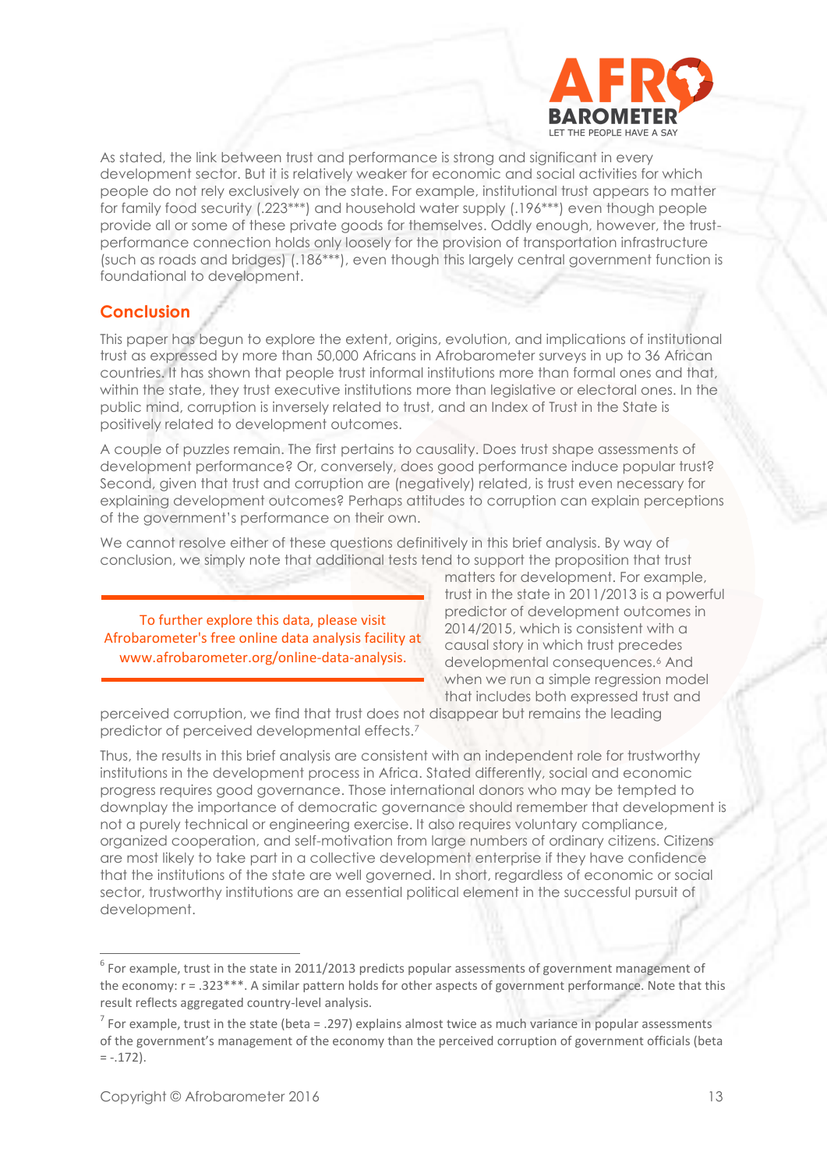

As stated, the link between trust and performance is strong and significant in every development sector. But it is relatively weaker for economic and social activities for which people do not rely exclusively on the state. For example, institutional trust appears to matter for family food security (.223\*\*\*) and household water supply (.196\*\*\*) even though people provide all or some of these private goods for themselves. Oddly enough, however, the trustperformance connection holds only loosely for the provision of transportation infrastructure (such as roads and bridges) (.186\*\*\*), even though this largely central government function is foundational to development.

## **Conclusion**

This paper has begun to explore the extent, origins, evolution, and implications of institutional trust as expressed by more than 50,000 Africans in Afrobarometer surveys in up to 36 African countries. It has shown that people trust informal institutions more than formal ones and that, within the state, they trust executive institutions more than legislative or electoral ones. In the public mind, corruption is inversely related to trust, and an Index of Trust in the State is positively related to development outcomes.

A couple of puzzles remain. The first pertains to causality. Does trust shape assessments of development performance? Or, conversely, does good performance induce popular trust? Second, given that trust and corruption are (negatively) related, is trust even necessary for explaining development outcomes? Perhaps attitudes to corruption can explain perceptions of the government's performance on their own.

We cannot resolve either of these questions definitively in this brief analysis. By way of conclusion, we simply note that additional tests tend to support the proposition that trust

To further explore this data, please visit Afrobarometer's free online data analysis facility at www.afrobarometer.org/online-data-analysis.

matters for development. For example, trust in the state in 2011/2013 is a powerful predictor of development outcomes in 2014/2015, which is consistent with a causal story in which trust precedes developmental consequences.<sup>6</sup> And when we run a simple regression model that includes both expressed trust and

perceived corruption, we find that trust does not disappear but remains the leading predictor of perceived developmental effects.<sup>7</sup>

Thus, the results in this brief analysis are consistent with an independent role for trustworthy institutions in the development process in Africa. Stated differently, social and economic progress requires good governance. Those international donors who may be tempted to downplay the importance of democratic governance should remember that development is not a purely technical or engineering exercise. It also requires voluntary compliance, organized cooperation, and self-motivation from large numbers of ordinary citizens. Citizens are most likely to take part in a collective development enterprise if they have confidence that the institutions of the state are well governed. In short, regardless of economic or social sector, trustworthy institutions are an essential political element in the successful pursuit of development.

<sup>&</sup>lt;sup>6</sup> For example, trust in the state in 2011/2013 predicts popular assessments of government management of the economy: r = .323\*\*\*. A similar pattern holds for other aspects of government performance. Note that this result reflects aggregated country-level analysis.

<sup>&</sup>lt;sup>7</sup> For example, trust in the state (beta = .297) explains almost twice as much variance in popular assessments of the government's management of the economy than the perceived corruption of government officials (beta  $= -.172$ ).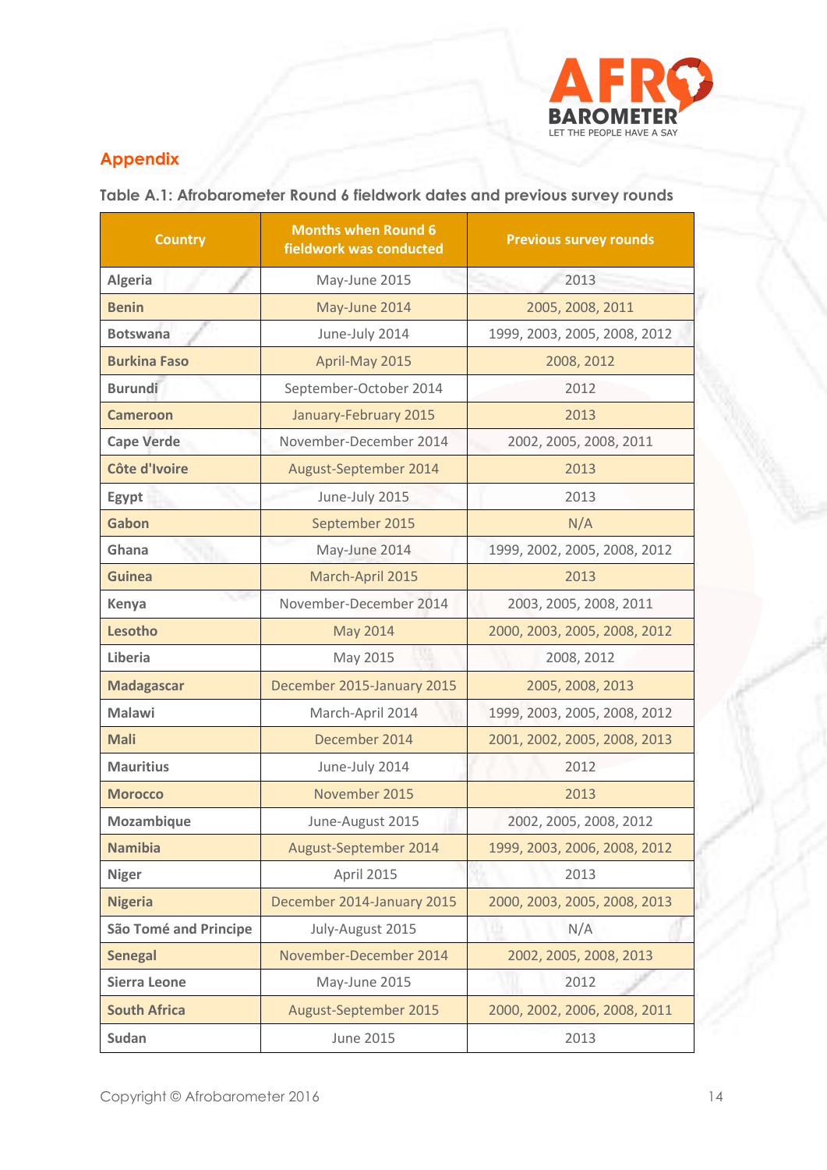

## **Appendix**

**Table A.1: Afrobarometer Round 6 fieldwork dates and previous survey rounds**

| <b>Country</b>               | <b>Months when Round 6</b><br>fieldwork was conducted | <b>Previous survey rounds</b> |  |
|------------------------------|-------------------------------------------------------|-------------------------------|--|
| <b>Algeria</b>               | May-June 2015                                         | 2013                          |  |
| <b>Benin</b>                 | May-June 2014                                         | 2005, 2008, 2011              |  |
| <b>Botswana</b>              | June-July 2014                                        | 1999, 2003, 2005, 2008, 2012  |  |
| <b>Burkina Faso</b>          | April-May 2015                                        | 2008, 2012                    |  |
| <b>Burundi</b>               | September-October 2014                                | 2012                          |  |
| <b>Cameroon</b>              | January-February 2015                                 | 2013                          |  |
| <b>Cape Verde</b>            | November-December 2014                                | 2002, 2005, 2008, 2011        |  |
| Côte d'Ivoire                | August-September 2014                                 | 2013                          |  |
| Egypt                        | June-July 2015                                        | 2013                          |  |
| Gabon                        | September 2015                                        | N/A                           |  |
| Ghana                        | May-June 2014                                         | 1999, 2002, 2005, 2008, 2012  |  |
| <b>Guinea</b>                | March-April 2015                                      | 2013                          |  |
| Kenya                        | November-December 2014                                | 2003, 2005, 2008, 2011        |  |
| Lesotho                      | May 2014                                              | 2000, 2003, 2005, 2008, 2012  |  |
| Liberia                      | May 2015                                              | 2008, 2012                    |  |
| <b>Madagascar</b>            | December 2015-January 2015                            | 2005, 2008, 2013              |  |
| <b>Malawi</b>                | March-April 2014                                      | 1999, 2003, 2005, 2008, 2012  |  |
| <b>Mali</b>                  | December 2014                                         | 2001, 2002, 2005, 2008, 2013  |  |
| <b>Mauritius</b>             | June-July 2014                                        | 2012                          |  |
| <b>Morocco</b>               | November 2015                                         | 2013                          |  |
| Mozambique                   | June-August 2015                                      | 2002, 2005, 2008, 2012        |  |
| <b>Namibia</b>               | August-September 2014                                 | 1999, 2003, 2006, 2008, 2012  |  |
| <b>Niger</b>                 | <b>April 2015</b>                                     | 2013                          |  |
| <b>Nigeria</b>               | December 2014-January 2015                            | 2000, 2003, 2005, 2008, 2013  |  |
| <b>São Tomé and Principe</b> | July-August 2015                                      | N/A                           |  |
| <b>Senegal</b>               | November-December 2014                                | 2002, 2005, 2008, 2013        |  |
| <b>Sierra Leone</b>          | May-June 2015                                         | 2012                          |  |
| <b>South Africa</b>          | August-September 2015                                 | 2000, 2002, 2006, 2008, 2011  |  |
| Sudan                        | <b>June 2015</b>                                      | 2013                          |  |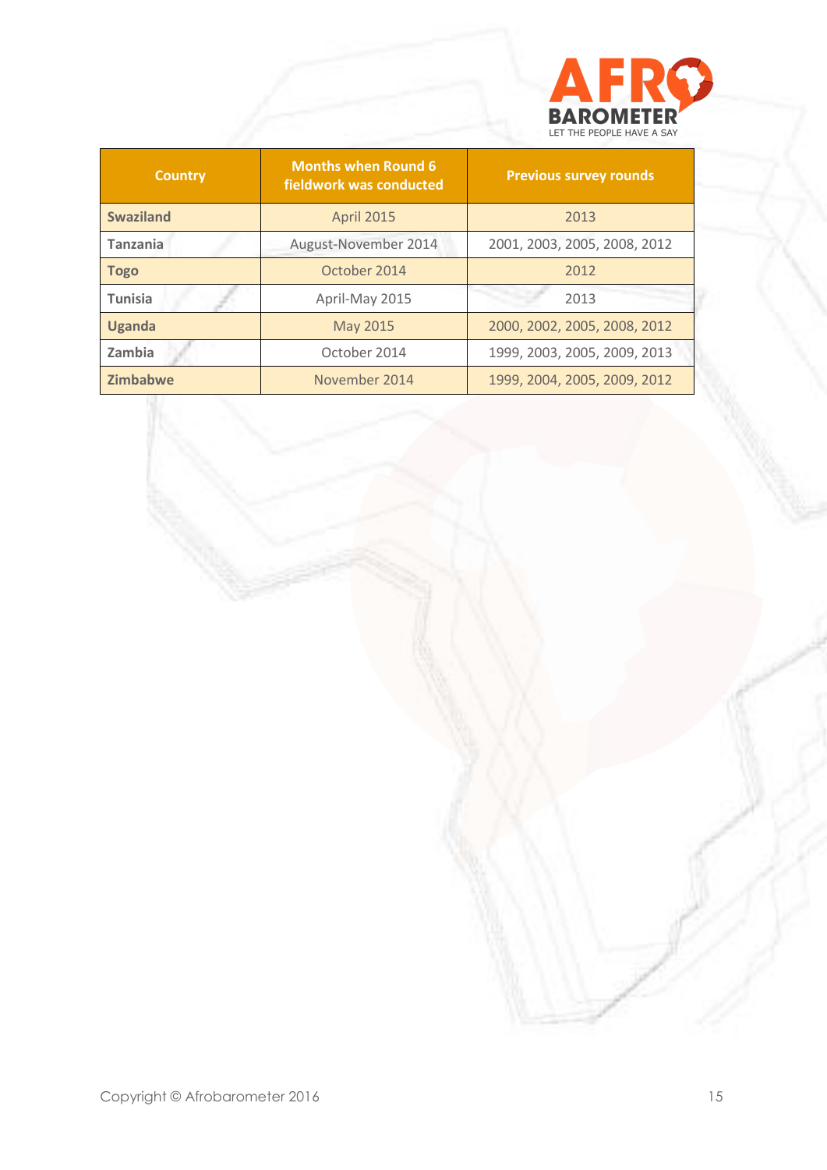

| <b>Country</b>   | <b>Months when Round 6</b><br>fieldwork was conducted | <b>Previous survey rounds</b> |  |  |
|------------------|-------------------------------------------------------|-------------------------------|--|--|
| <b>Swaziland</b> | <b>April 2015</b>                                     | 2013                          |  |  |
| <b>Tanzania</b>  | August-November 2014                                  | 2001, 2003, 2005, 2008, 2012  |  |  |
| <b>Togo</b>      | October 2014                                          | 2012                          |  |  |
| <b>Tunisia</b>   | April-May 2015                                        | 2013                          |  |  |
| <b>Uganda</b>    | May 2015                                              | 2000, 2002, 2005, 2008, 2012  |  |  |
| Zambia           | October 2014                                          | 1999, 2003, 2005, 2009, 2013  |  |  |
| <b>Zimbabwe</b>  | November 2014                                         | 1999, 2004, 2005, 2009, 2012  |  |  |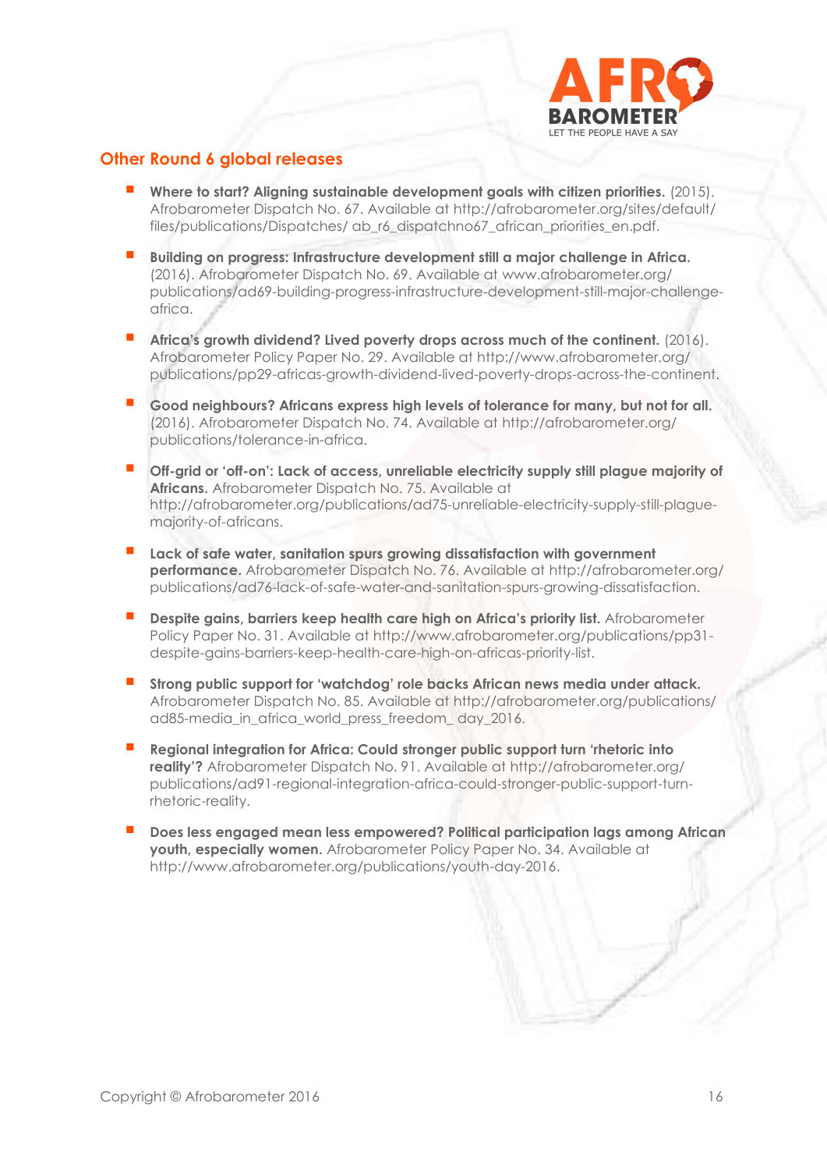

## **Other Round 6 global releases**

- **Where to start? Aligning sustainable development goals with citizen priorities.** (2015). Afrobarometer Dispatch No. 67. Available at [http://afrobarometer.org/sites/default/](http://afrobarometer.org/sites/default/%20files/publications/)  [files/publications/D](http://afrobarometer.org/sites/default/%20files/publications/)ispatches/ ab\_r6\_dispatchno67\_african\_priorities\_en.pdf.
- **Building on progress: Infrastructure development still a major challenge in Africa.** (2016). Afrobarometer Dispatch No. 69. Available at [www.afrobarometer.org/](http://www.afrobarometer.org/) publications/ad69-building-progress-infrastructure-development-still-major-challengeafrica.
- **Africa's growth dividend? Lived poverty drops across much of the continent.** (2016). Afrobarometer Policy Paper No. 29. Available at [http://www.afrobarometer.org/](http://www.afrobarometer.org/%20publications/pp29-africas-growth-dividend-lived-poverty-drops-across-the-continent)  [publications/pp29-africas-growth-dividend-lived-poverty-drops-across-the-continent.](http://www.afrobarometer.org/%20publications/pp29-africas-growth-dividend-lived-poverty-drops-across-the-continent)
- **Good neighbours? Africans express high levels of tolerance for many, but not for all.** (2016). Afrobarometer Dispatch No. 74. Available at [http://afrobarometer.org/](http://afrobarometer.org/%20publications/tolerance-in-africa)  [publications/tolerance-in-africa.](http://afrobarometer.org/%20publications/tolerance-in-africa)
- **Off-grid or 'off-on': Lack of access, unreliable electricity supply still plague majority of Africans.** Afrobarometer Dispatch No. 75. Available at [http://afrobarometer.org/p](http://afrobarometer.org/)ublications/ad75-unreliable-electricity-supply-still-plaguemajority-of-africans.
- **Lack of safe water, sanitation spurs growing dissatisfaction with government performance.** Afrobarometer Dispatch No. 76. Available at<http://afrobarometer.org/> publications/ad76-lack-of-safe-water-and-sanitation-spurs-growing-dissatisfaction.
- **Despite gains, barriers keep health care high on Africa's priority list.** Afrobarometer Policy Paper No. 31. Available at [http://www.afrobarometer.org/publications/pp31](http://www.afrobarometer.org/publications/pp31-despite-gains-barriers-keep-health-care-high-on-africas-priority-list) [despite-gains-barriers-keep-health-care-high-on-africas-priority-list.](http://www.afrobarometer.org/publications/pp31-despite-gains-barriers-keep-health-care-high-on-africas-priority-list)
- **Strong public support for 'watchdog' role backs African news media under attack.** Afrobarometer Dispatch No. 85. Available at<http://afrobarometer.org/publications/> ad85-media\_in\_africa\_world\_press\_freedom\_ day\_2016.
- **Regional integration for Africa: Could stronger public support turn 'rhetoric into reality'?** Afrobarometer Dispatch No. 91. Available at [http://afrobarometer.org/](http://afrobarometer.org/%20publications/ad91-regional-integration-africa-could-stronger-public-support-turn-rhetoric-reality)  [publications/ad91-regional-integration-africa-could-stronger-public-support-turn](http://afrobarometer.org/%20publications/ad91-regional-integration-africa-could-stronger-public-support-turn-rhetoric-reality)[rhetoric-reality.](http://afrobarometer.org/%20publications/ad91-regional-integration-africa-could-stronger-public-support-turn-rhetoric-reality)
- **Does less engaged mean less empowered? Political participation lags among African youth, especially women.** Afrobarometer Policy Paper No. 34. Available at http://www.afrobarometer.org/publications/youth-day-2016.